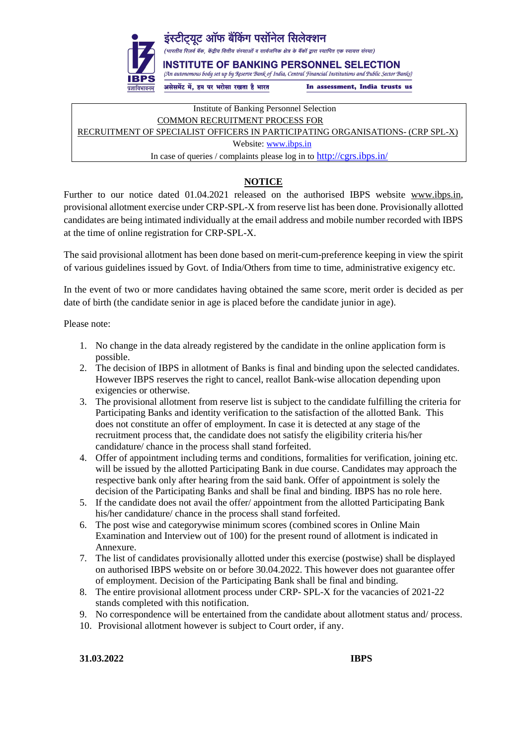

Institute of Banking Personnel Selection COMMON RECRUITMENT PROCESS FOR RECRUITMENT OF SPECIALIST OFFICERS IN PARTICIPATING ORGANISATIONS- (CRP SPL-X) Website: [www.ibps.in](http://www.ibps.in/) In case of queries / complaints please log in to <http://cgrs.ibps.in/>

## **NOTICE**

Further to our notice dated 01.04.2021 released on the authorised IBPS website www.ibps.in, provisional allotment exercise under CRP-SPL-X from reserve list has been done. Provisionally allotted candidates are being intimated individually at the email address and mobile number recorded with IBPS at the time of online registration for CRP-SPL-X.

The said provisional allotment has been done based on merit-cum-preference keeping in view the spirit of various guidelines issued by Govt. of India/Others from time to time, administrative exigency etc.

In the event of two or more candidates having obtained the same score, merit order is decided as per date of birth (the candidate senior in age is placed before the candidate junior in age).

Please note:

- 1. No change in the data already registered by the candidate in the online application form is possible.
- 2. The decision of IBPS in allotment of Banks is final and binding upon the selected candidates. However IBPS reserves the right to cancel, reallot Bank-wise allocation depending upon exigencies or otherwise.
- 3. The provisional allotment from reserve list is subject to the candidate fulfilling the criteria for Participating Banks and identity verification to the satisfaction of the allotted Bank. This does not constitute an offer of employment. In case it is detected at any stage of the recruitment process that, the candidate does not satisfy the eligibility criteria his/her candidature/ chance in the process shall stand forfeited.
- 4. Offer of appointment including terms and conditions, formalities for verification, joining etc. will be issued by the allotted Participating Bank in due course. Candidates may approach the respective bank only after hearing from the said bank. Offer of appointment is solely the decision of the Participating Banks and shall be final and binding. IBPS has no role here.
- 5. If the candidate does not avail the offer/ appointment from the allotted Participating Bank his/her candidature/ chance in the process shall stand forfeited.
- 6. The post wise and categorywise minimum scores (combined scores in Online Main Examination and Interview out of 100) for the present round of allotment is indicated in Annexure.
- 7. The list of candidates provisionally allotted under this exercise (postwise) shall be displayed on authorised IBPS website on or before 30.04.2022. This however does not guarantee offer of employment. Decision of the Participating Bank shall be final and binding.
- 8. The entire provisional allotment process under CRP- SPL-X for the vacancies of 2021-22 stands completed with this notification.
- 9. No correspondence will be entertained from the candidate about allotment status and/ process.
- 10. Provisional allotment however is subject to Court order, if any.

**31.03.2022 IBPS**